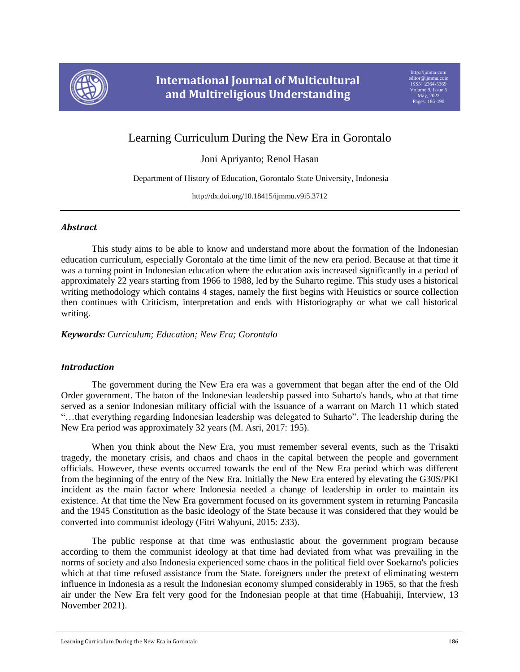

# Learning Curriculum During the New Era in Gorontalo

Joni Apriyanto; Renol Hasan

Department of History of Education, Gorontalo State University, Indonesia

http://dx.doi.org/10.18415/ijmmu.v9i5.3712

# *Abstract*

This study aims to be able to know and understand more about the formation of the Indonesian education curriculum, especially Gorontalo at the time limit of the new era period. Because at that time it was a turning point in Indonesian education where the education axis increased significantly in a period of approximately 22 years starting from 1966 to 1988, led by the Suharto regime. This study uses a historical writing methodology which contains 4 stages, namely the first begins with Heuistics or source collection then continues with Criticism, interpretation and ends with Historiography or what we call historical writing.

*Keywords: Curriculum; Education; New Era; Gorontalo*

# *Introduction*

The government during the New Era era was a government that began after the end of the Old Order government. The baton of the Indonesian leadership passed into Suharto's hands, who at that time served as a senior Indonesian military official with the issuance of a warrant on March 11 which stated "…that everything regarding Indonesian leadership was delegated to Suharto". The leadership during the New Era period was approximately 32 years (M. Asri, 2017: 195).

When you think about the New Era, you must remember several events, such as the Trisakti tragedy, the monetary crisis, and chaos and chaos in the capital between the people and government officials. However, these events occurred towards the end of the New Era period which was different from the beginning of the entry of the New Era. Initially the New Era entered by elevating the G30S/PKI incident as the main factor where Indonesia needed a change of leadership in order to maintain its existence. At that time the New Era government focused on its government system in returning Pancasila and the 1945 Constitution as the basic ideology of the State because it was considered that they would be converted into communist ideology (Fitri Wahyuni, 2015: 233).

The public response at that time was enthusiastic about the government program because according to them the communist ideology at that time had deviated from what was prevailing in the norms of society and also Indonesia experienced some chaos in the political field over Soekarno's policies which at that time refused assistance from the State. foreigners under the pretext of eliminating western influence in Indonesia as a result the Indonesian economy slumped considerably in 1965, so that the fresh air under the New Era felt very good for the Indonesian people at that time (Habuahiji, Interview, 13 November 2021).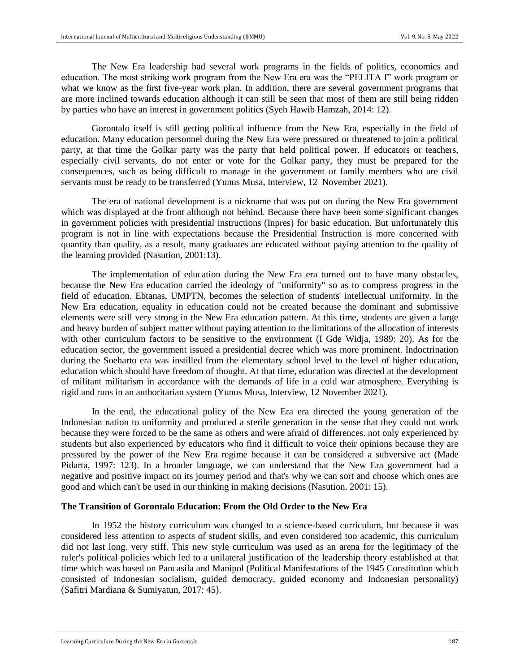The New Era leadership had several work programs in the fields of politics, economics and education. The most striking work program from the New Era era was the "PELITA I" work program or what we know as the first five-year work plan. In addition, there are several government programs that are more inclined towards education although it can still be seen that most of them are still being ridden by parties who have an interest in government politics (Syeh Hawib Hamzah, 2014: 12).

Gorontalo itself is still getting political influence from the New Era, especially in the field of education. Many education personnel during the New Era were pressured or threatened to join a political party, at that time the Golkar party was the party that held political power. If educators or teachers, especially civil servants, do not enter or vote for the Golkar party, they must be prepared for the consequences, such as being difficult to manage in the government or family members who are civil servants must be ready to be transferred (Yunus Musa, Interview, 12 November 2021).

The era of national development is a nickname that was put on during the New Era government which was displayed at the front although not behind. Because there have been some significant changes in government policies with presidential instructions (Inpres) for basic education. But unfortunately this program is not in line with expectations because the Presidential Instruction is more concerned with quantity than quality, as a result, many graduates are educated without paying attention to the quality of the learning provided (Nasution, 2001:13).

The implementation of education during the New Era era turned out to have many obstacles, because the New Era education carried the ideology of "uniformity" so as to compress progress in the field of education. Ebtanas, UMPTN, becomes the selection of students' intellectual uniformity. In the New Era education, equality in education could not be created because the dominant and submissive elements were still very strong in the New Era education pattern. At this time, students are given a large and heavy burden of subject matter without paying attention to the limitations of the allocation of interests with other curriculum factors to be sensitive to the environment (I Gde Widja, 1989: 20). As for the education sector, the government issued a presidential decree which was more prominent. Indoctrination during the Soeharto era was instilled from the elementary school level to the level of higher education, education which should have freedom of thought. At that time, education was directed at the development of militant militarism in accordance with the demands of life in a cold war atmosphere. Everything is rigid and runs in an authoritarian system (Yunus Musa, Interview, 12 November 2021).

In the end, the educational policy of the New Era era directed the young generation of the Indonesian nation to uniformity and produced a sterile generation in the sense that they could not work because they were forced to be the same as others and were afraid of differences. not only experienced by students but also experienced by educators who find it difficult to voice their opinions because they are pressured by the power of the New Era regime because it can be considered a subversive act (Made Pidarta, 1997: 123). In a broader language, we can understand that the New Era government had a negative and positive impact on its journey period and that's why we can sort and choose which ones are good and which can't be used in our thinking in making decisions (Nasution. 2001: 15).

#### **The Transition of Gorontalo Education: From the Old Order to the New Era**

In 1952 the history curriculum was changed to a science-based curriculum, but because it was considered less attention to aspects of student skills, and even considered too academic, this curriculum did not last long. very stiff. This new style curriculum was used as an arena for the legitimacy of the ruler's political policies which led to a unilateral justification of the leadership theory established at that time which was based on Pancasila and Manipol (Political Manifestations of the 1945 Constitution which consisted of Indonesian socialism, guided democracy, guided economy and Indonesian personality) (Safitri Mardiana & Sumiyatun, 2017: 45).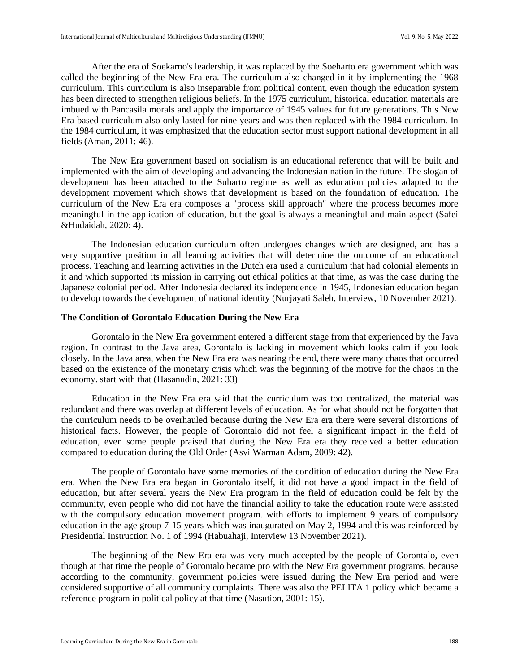After the era of Soekarno's leadership, it was replaced by the Soeharto era government which was called the beginning of the New Era era. The curriculum also changed in it by implementing the 1968 curriculum. This curriculum is also inseparable from political content, even though the education system has been directed to strengthen religious beliefs. In the 1975 curriculum, historical education materials are imbued with Pancasila morals and apply the importance of 1945 values for future generations. This New Era-based curriculum also only lasted for nine years and was then replaced with the 1984 curriculum. In the 1984 curriculum, it was emphasized that the education sector must support national development in all fields (Aman, 2011: 46).

The New Era government based on socialism is an educational reference that will be built and implemented with the aim of developing and advancing the Indonesian nation in the future. The slogan of development has been attached to the Suharto regime as well as education policies adapted to the development movement which shows that development is based on the foundation of education. The curriculum of the New Era era composes a "process skill approach" where the process becomes more meaningful in the application of education, but the goal is always a meaningful and main aspect (Safei &Hudaidah, 2020: 4).

The Indonesian education curriculum often undergoes changes which are designed, and has a very supportive position in all learning activities that will determine the outcome of an educational process. Teaching and learning activities in the Dutch era used a curriculum that had colonial elements in it and which supported its mission in carrying out ethical politics at that time, as was the case during the Japanese colonial period. After Indonesia declared its independence in 1945, Indonesian education began to develop towards the development of national identity (Nurjayati Saleh, Interview, 10 November 2021).

#### **The Condition of Gorontalo Education During the New Era**

Gorontalo in the New Era government entered a different stage from that experienced by the Java region. In contrast to the Java area, Gorontalo is lacking in movement which looks calm if you look closely. In the Java area, when the New Era era was nearing the end, there were many chaos that occurred based on the existence of the monetary crisis which was the beginning of the motive for the chaos in the economy. start with that (Hasanudin, 2021: 33)

Education in the New Era era said that the curriculum was too centralized, the material was redundant and there was overlap at different levels of education. As for what should not be forgotten that the curriculum needs to be overhauled because during the New Era era there were several distortions of historical facts. However, the people of Gorontalo did not feel a significant impact in the field of education, even some people praised that during the New Era era they received a better education compared to education during the Old Order (Asvi Warman Adam, 2009: 42).

The people of Gorontalo have some memories of the condition of education during the New Era era. When the New Era era began in Gorontalo itself, it did not have a good impact in the field of education, but after several years the New Era program in the field of education could be felt by the community, even people who did not have the financial ability to take the education route were assisted with the compulsory education movement program. with efforts to implement 9 years of compulsory education in the age group 7-15 years which was inaugurated on May 2, 1994 and this was reinforced by Presidential Instruction No. 1 of 1994 (Habuahaji, Interview 13 November 2021).

The beginning of the New Era era was very much accepted by the people of Gorontalo, even though at that time the people of Gorontalo became pro with the New Era government programs, because according to the community, government policies were issued during the New Era period and were considered supportive of all community complaints. There was also the PELITA 1 policy which became a reference program in political policy at that time (Nasution, 2001: 15).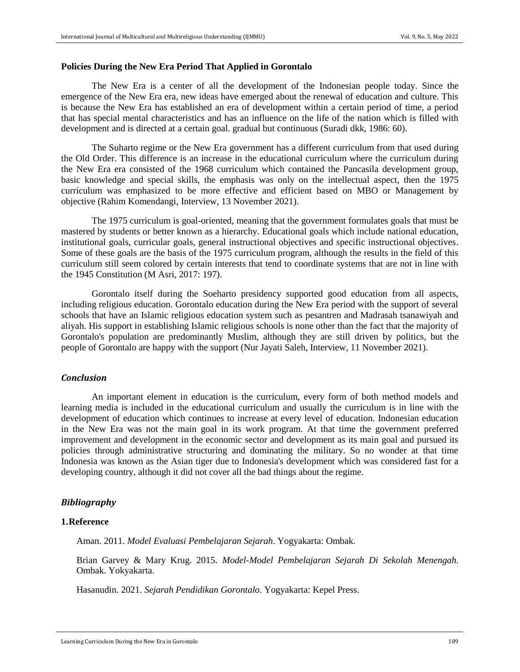#### **Policies During the New Era Period That Applied in Gorontalo**

The New Era is a center of all the development of the Indonesian people today. Since the emergence of the New Era era, new ideas have emerged about the renewal of education and culture. This is because the New Era has established an era of development within a certain period of time, a period that has special mental characteristics and has an influence on the life of the nation which is filled with development and is directed at a certain goal. gradual but continuous (Suradi dkk, 1986: 60).

The Suharto regime or the New Era government has a different curriculum from that used during the Old Order. This difference is an increase in the educational curriculum where the curriculum during the New Era era consisted of the 1968 curriculum which contained the Pancasila development group, basic knowledge and special skills, the emphasis was only on the intellectual aspect, then the 1975 curriculum was emphasized to be more effective and efficient based on MBO or Management by objective (Rahim Komendangi, Interview, 13 November 2021).

The 1975 curriculum is goal-oriented, meaning that the government formulates goals that must be mastered by students or better known as a hierarchy. Educational goals which include national education, institutional goals, curricular goals, general instructional objectives and specific instructional objectives. Some of these goals are the basis of the 1975 curriculum program, although the results in the field of this curriculum still seem colored by certain interests that tend to coordinate systems that are not in line with the 1945 Constitution (M Asri, 2017: 197).

Gorontalo itself during the Soeharto presidency supported good education from all aspects, including religious education. Gorontalo education during the New Era period with the support of several schools that have an Islamic religious education system such as pesantren and Madrasah tsanawiyah and aliyah. His support in establishing Islamic religious schools is none other than the fact that the majority of Gorontalo's population are predominantly Muslim, although they are still driven by politics, but the people of Gorontalo are happy with the support (Nur Jayati Saleh, Interview, 11 November 2021).

## *Conclusion*

An important element in education is the curriculum, every form of both method models and learning media is included in the educational curriculum and usually the curriculum is in line with the development of education which continues to increase at every level of education. Indonesian education in the New Era was not the main goal in its work program. At that time the government preferred improvement and development in the economic sector and development as its main goal and pursued its policies through administrative structuring and dominating the military. So no wonder at that time Indonesia was known as the Asian tiger due to Indonesia's development which was considered fast for a developing country, although it did not cover all the bad things about the regime.

#### *Bibliography*

### **1.Reference**

Aman. 2011. *Model Evaluasi Pembelajaran Sejarah*. Yogyakarta: Ombak.

Brian Garvey & Mary Krug. 2015. *Model-Model Pembelajaran Sejarah Di Sekolah Menengah*. Ombak. Yokyakarta.

Hasanudin. 2021. *Sejarah Pendidikan Gorontalo*. Yogyakarta: Kepel Press.